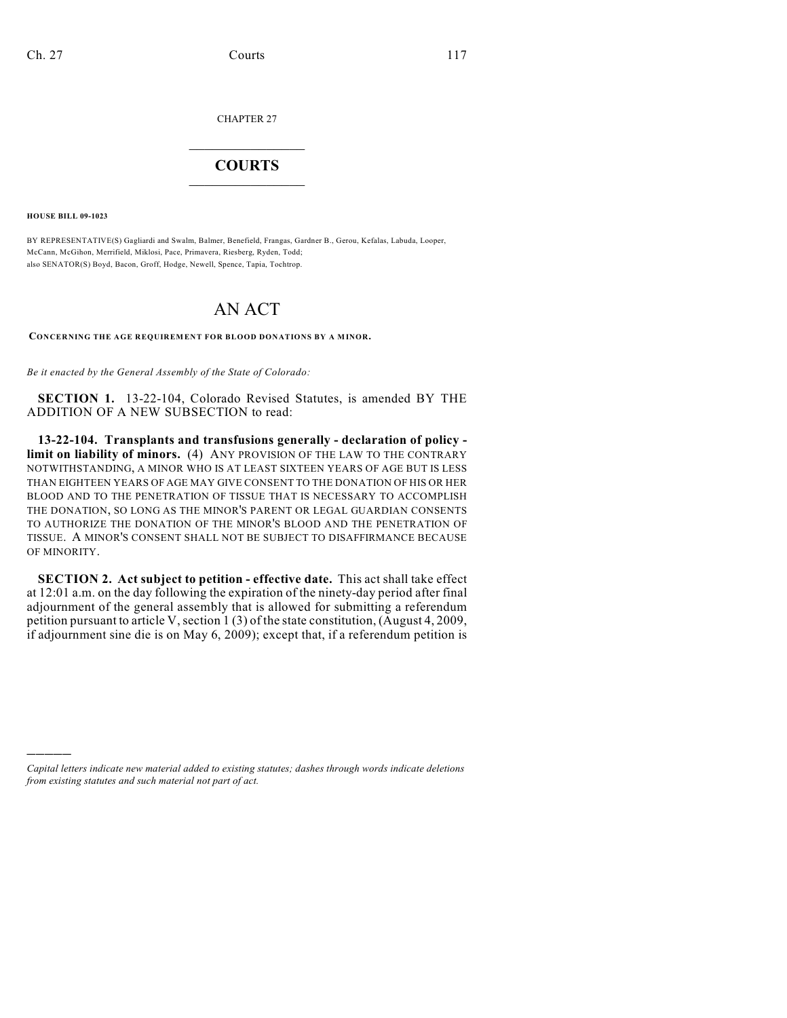CHAPTER 27

## $\mathcal{L}_\text{max}$  . The set of the set of the set of the set of the set of the set of the set of the set of the set of the set of the set of the set of the set of the set of the set of the set of the set of the set of the set **COURTS**  $\_$   $\_$   $\_$   $\_$   $\_$   $\_$   $\_$   $\_$

**HOUSE BILL 09-1023**

)))))

BY REPRESENTATIVE(S) Gagliardi and Swalm, Balmer, Benefield, Frangas, Gardner B., Gerou, Kefalas, Labuda, Looper, McCann, McGihon, Merrifield, Miklosi, Pace, Primavera, Riesberg, Ryden, Todd; also SENATOR(S) Boyd, Bacon, Groff, Hodge, Newell, Spence, Tapia, Tochtrop.

## AN ACT

CONCERNING THE AGE REQUIREMENT FOR BLOOD DONATIONS BY A MINOR.

*Be it enacted by the General Assembly of the State of Colorado:*

**SECTION 1.** 13-22-104, Colorado Revised Statutes, is amended BY THE ADDITION OF A NEW SUBSECTION to read:

**13-22-104. Transplants and transfusions generally - declaration of policy limit on liability of minors.** (4) ANY PROVISION OF THE LAW TO THE CONTRARY NOTWITHSTANDING, A MINOR WHO IS AT LEAST SIXTEEN YEARS OF AGE BUT IS LESS THAN EIGHTEEN YEARS OF AGE MAY GIVE CONSENT TO THE DONATION OF HIS OR HER BLOOD AND TO THE PENETRATION OF TISSUE THAT IS NECESSARY TO ACCOMPLISH THE DONATION, SO LONG AS THE MINOR'S PARENT OR LEGAL GUARDIAN CONSENTS TO AUTHORIZE THE DONATION OF THE MINOR'S BLOOD AND THE PENETRATION OF TISSUE. A MINOR'S CONSENT SHALL NOT BE SUBJECT TO DISAFFIRMANCE BECAUSE OF MINORITY.

**SECTION 2. Act subject to petition - effective date.** This act shall take effect at 12:01 a.m. on the day following the expiration of the ninety-day period after final adjournment of the general assembly that is allowed for submitting a referendum petition pursuant to article V, section 1 (3) of the state constitution, (August 4, 2009, if adjournment sine die is on May 6, 2009); except that, if a referendum petition is

*Capital letters indicate new material added to existing statutes; dashes through words indicate deletions from existing statutes and such material not part of act.*